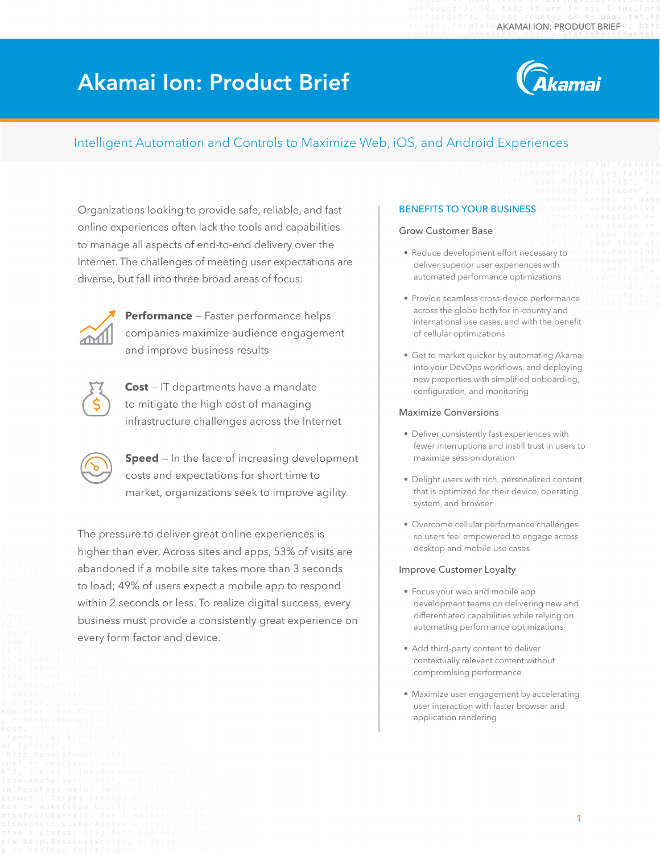# Akamai Ion: Product Brief



### Intelligent Automation and Controls to Maximize Web, iOS, and Android Experiences

Organizations looking to provide safe, reliable, and fast online experiences often lack the tools and capabilities to manage all aspects of end-to-end delivery over the Internet. The challenges of meeting user expectations are diverse, but fall into three broad areas of focus:



**Performance** — Faster performance helps companies maximize audience engagement and improve business results



**Cost** — IT departments have a mandate to mitigate the high cost of managing infrastructure challenges across the Internet

**Speed** – In the face of increasing development costs and expectations for short time to market, organizations seek to improve agility

The pressure to deliver great online experiences is higher than ever. Across sites and apps, 53% of visits are abandoned if a mobile site takes more than 3 seconds to load; 49% of users expect a mobile app to respond within 2 seconds or less. To realize digital success, every business must provide a consistently great experience on every form factor and device.

### BENEFITS TO YOUR BUSINESS

#### Grow Customer Base

- Reduce development effort necessary to deliver superior user experiences with automated performance optimizations
- Provide seamless cross-device performance across the globe both for in-country and international use cases, and with the benefit of cellular optimizations
- Get to market quicker by automating Akamai into your DevOps workflows, and deploying new properties with simplified onboarding, configuration, and monitoring

#### Maximize Conversions

- Deliver consistently fast experiences with fewer interruptions and instill trust in users to maximize session duration
- Delight users with rich, personalized content that is optimized for their device, operating system, and browser
- Overcome cellular performance challenges so users feel empowered to engage across desktop and mobile use cases

#### Improve Customer Loyalty

- Focus your web and mobile app development teams on delivering new and differentiated capabilities while relying on automating performance optimizations
- Add third-party content to deliver contextually relevant content without compromising performance
- Maximize user engagement by accelerating user interaction with faster browser and application rendering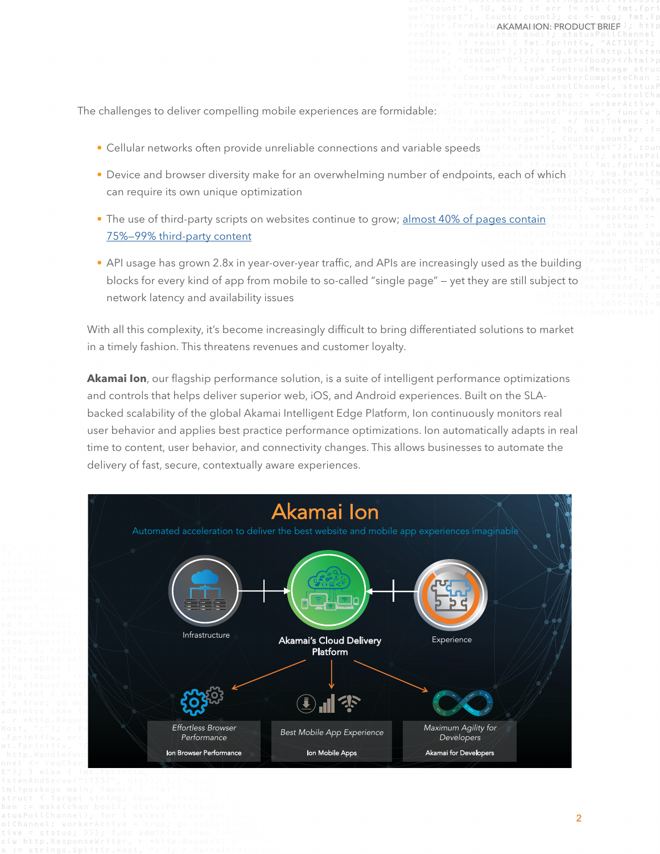The challenges to deliver compelling mobile experiences are formidable:

- Cellular networks often provide unreliable connections and variable speeds
- Device and browser diversity make for an overwhelming number of endpoints, each of which can require its own unique optimization
- The use of third-party scripts on websites continue to grow; [almost 40% of pages contain](https://discuss.httparchive.org/t/what-is-the-distribution-of-1st-party-vs-3rd-party-resources/100/14) [75%—99% third-party content](https://discuss.httparchive.org/t/what-is-the-distribution-of-1st-party-vs-3rd-party-resources/100/14)
- API usage has grown 2.8x in year-over-year traffic, and APIs are increasingly used as the building blocks for every kind of app from mobile to so-called "single page" — yet they are still subject to network latency and availability issues

With all this complexity, it's become increasingly difficult to bring differentiated solutions to market in a timely fashion. This threatens revenues and customer loyalty.

**Akamai Ion**, our flagship performance solution, is a suite of intelligent performance optimizations and controls that helps deliver superior web, iOS, and Android experiences. Built on the SLAbacked scalability of the global Akamai Intelligent Edge Platform, Ion continuously monitors real user behavior and applies best practice performance optimizations. Ion automatically adapts in real time to content, user behavior, and connectivity changes. This allows businesses to automate the delivery of fast, secure, contextually aware experiences.

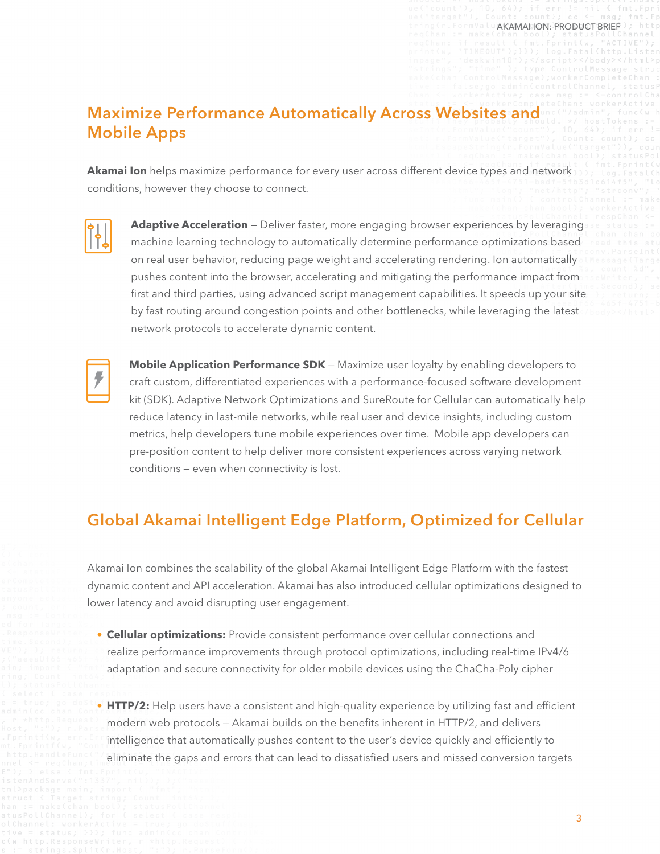#### AKAMAI ION: PRODUCT BRIEF

### Maximize Performance Automatically Across Websites and Mobile Apps

**Akamai Ion** helps maximize performance for every user across different device types and network conditions, however they choose to connect.



Adaptive Acceleration - Deliver faster, more engaging browser experiences by leveraging machine learning technology to automatically determine performance optimizations based on real user behavior, reducing page weight and accelerating rendering. Ion automatically pushes content into the browser, accelerating and mitigating the performance impact from first and third parties, using advanced script management capabilities. It speeds up your site by fast routing around congestion points and other bottlenecks, while leveraging the latest network protocols to accelerate dynamic content.



**Mobile Application Performance SDK** — Maximize user loyalty by enabling developers to craft custom, differentiated experiences with a performance-focused software development kit (SDK). Adaptive Network Optimizations and SureRoute for Cellular can automatically help reduce latency in last-mile networks, while real user and device insights, including custom metrics, help developers tune mobile experiences over time. Mobile app developers can pre-position content to help deliver more consistent experiences across varying network conditions — even when connectivity is lost.

# Global Akamai Intelligent Edge Platform, Optimized for Cellular

Akamai Ion combines the scalability of the global Akamai Intelligent Edge Platform with the fastest dynamic content and API acceleration. Akamai has also introduced cellular optimizations designed to lower latency and avoid disrupting user engagement.

- **• Cellular optimizations:** Provide consistent performance over cellular connections and realize performance improvements through protocol optimizations, including real-time IPv4/6 adaptation and secure connectivity for older mobile devices using the ChaCha-Poly cipher
- **• HTTP/2:** Help users have a consistent and high-quality experience by utilizing fast and efficient modern web protocols — Akamai builds on the benefits inherent in HTTP/2, and delivers intelligence that automatically pushes content to the user's device quickly and efficiently to eliminate the gaps and errors that can lead to dissatisfied users and missed conversion targets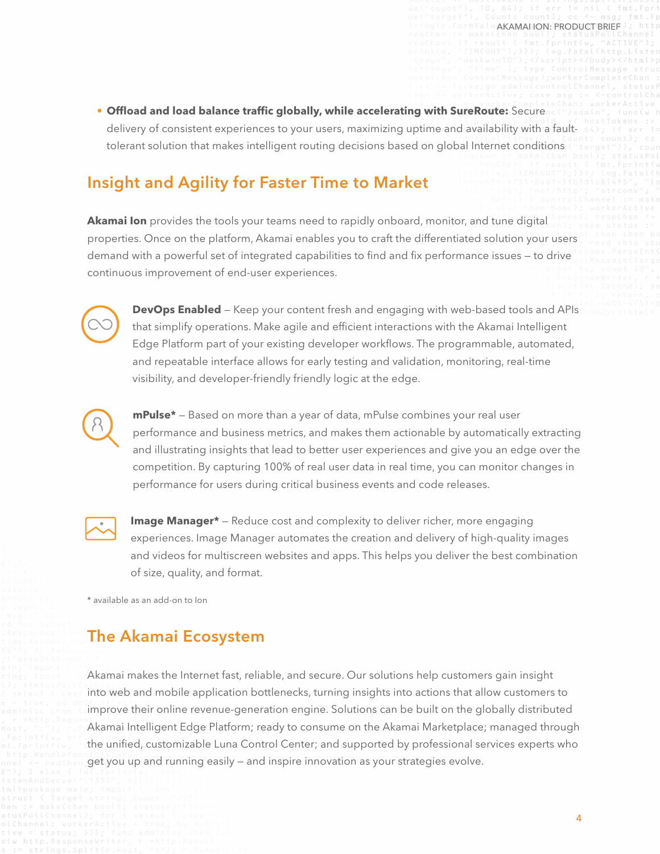**• Offload and load balance traffic globally, while accelerating with SureRoute:** Secure delivery of consistent experiences to your users, maximizing uptime and availability with a faulttolerant solution that makes intelligent routing decisions based on global Internet conditions

## Insight and Agility for Faster Time to Market

**Akamai Ion** provides the tools your teams need to rapidly onboard, monitor, and tune digital properties. Once on the platform, Akamai enables you to craft the differentiated solution your users demand with a powerful set of integrated capabilities to find and fix performance issues — to drive continuous improvement of end-user experiences.



**[DevOps Enabled](https://developer.akamai.com/ion)** — Keep your content fresh and engaging with web-based tools and APIs that simplify operations. Make agile and efficient interactions with the Akamai Intelligent Edge Platform part of your existing developer workflows. The programmable, automated, and repeatable interface allows for early testing and validation, monitoring, real-time visibility, and developer-friendly friendly logic at the edge.



**[mPulse\\*](https://www.akamai.com/us/en/products/performance/mpulse-real-user-monitoring.jsp)** — Based on more than a year of data, mPulse combines your real user performance and business metrics, and makes them actionable by automatically extracting and illustrating insights that lead to better user experiences and give you an edge over the competition. By capturing 100% of real user data in real time, you can monitor changes in performance for users during critical business events and code releases.



**[Image Manager\\*](https://www.akamai.com/us/en/solutions/performance/image-management.jsp)** – Reduce cost and complexity to deliver richer, more engaging experiences. Image Manager automates the creation and delivery of high-quality images and videos for multiscreen websites and apps. This helps you deliver the best combination of size, quality, and format.

\* available as an add-on to Ion

### The Akamai Ecosystem

Akamai makes the Internet fast, reliable, and secure. Our solutions help customers gain insight into web and mobile application bottlenecks, turning insights into actions that allow customers to improve their online revenue-generation engine. Solutions can be built on the globally distributed Akamai Intelligent Edge Platform; ready to consume on the Akamai Marketplace; managed through the unified, customizable Luna Control Center; and supported by professional services experts who get you up and running easily — and inspire innovation as your strategies evolve.

AKAMAI ION: PRODUCT BRIEF